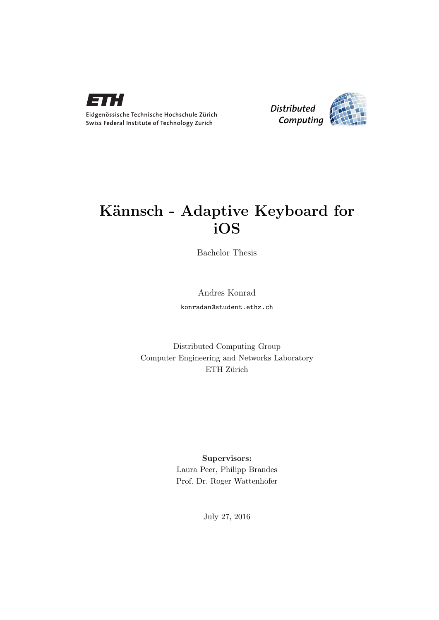



## Kännsch - Adaptive Keyboard for iOS

Bachelor Thesis

Andres Konrad

konradan@student.ethz.ch

Distributed Computing Group Computer Engineering and Networks Laboratory ETH Zürich

### Supervisors:

Laura Peer, Philipp Brandes Prof. Dr. Roger Wattenhofer

July 27, 2016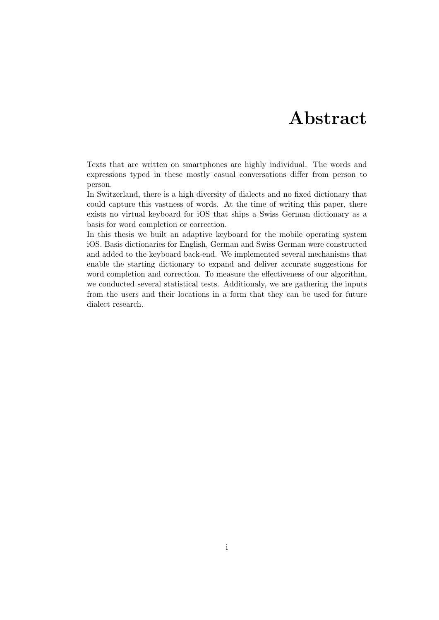## Abstract

<span id="page-1-0"></span>Texts that are written on smartphones are highly individual. The words and expressions typed in these mostly casual conversations differ from person to person.

In Switzerland, there is a high diversity of dialects and no fixed dictionary that could capture this vastness of words. At the time of writing this paper, there exists no virtual keyboard for iOS that ships a Swiss German dictionary as a basis for word completion or correction.

In this thesis we built an adaptive keyboard for the mobile operating system iOS. Basis dictionaries for English, German and Swiss German were constructed and added to the keyboard back-end. We implemented several mechanisms that enable the starting dictionary to expand and deliver accurate suggestions for word completion and correction. To measure the effectiveness of our algorithm, we conducted several statistical tests. Additionaly, we are gathering the inputs from the users and their locations in a form that they can be used for future dialect research.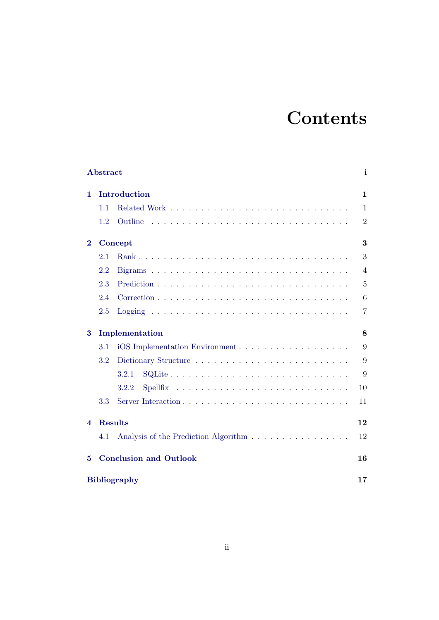# **Contents**

|          | Abstract                      |                                      |                |  |  |  |  |
|----------|-------------------------------|--------------------------------------|----------------|--|--|--|--|
| 1.       | Introduction                  |                                      |                |  |  |  |  |
|          | 1.1                           |                                      | $\mathbf{1}$   |  |  |  |  |
|          | 1.2                           | Outline                              | $\overline{2}$ |  |  |  |  |
| $\bf{2}$ | Concept                       |                                      |                |  |  |  |  |
|          | 2.1                           |                                      | 3              |  |  |  |  |
|          | 2.2                           |                                      | $\overline{4}$ |  |  |  |  |
|          | 2.3                           |                                      | 5              |  |  |  |  |
|          | 2.4                           |                                      | 6              |  |  |  |  |
|          | 2.5                           |                                      | $\overline{7}$ |  |  |  |  |
| 3        | Implementation                |                                      |                |  |  |  |  |
|          | 3.1                           |                                      | 9              |  |  |  |  |
|          | 3.2                           |                                      | 9              |  |  |  |  |
|          |                               | 3.2.1                                | 9              |  |  |  |  |
|          |                               | 3.2.2                                | 10             |  |  |  |  |
|          | 3.3                           |                                      | 11             |  |  |  |  |
| 4        |                               | <b>Results</b>                       | 12             |  |  |  |  |
|          | 4.1                           | Analysis of the Prediction Algorithm | 12             |  |  |  |  |
| 5        | <b>Conclusion and Outlook</b> |                                      |                |  |  |  |  |
|          | <b>Bibliography</b>           |                                      |                |  |  |  |  |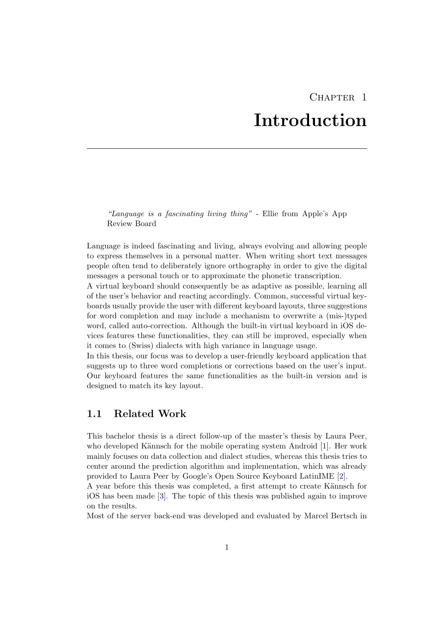## CHAPTER<sub>1</sub> Introduction

<span id="page-3-0"></span>"Language is a fascinating living thing" - Ellie from Apple's App Review Board

Language is indeed fascinating and living, always evolving and allowing people to express themselves in a personal matter. When writing short text messages people often tend to deliberately ignore orthography in order to give the digital messages a personal touch or to approximate the phonetic transcription.

A virtual keyboard should consequently be as adaptive as possible, learning all of the user's behavior and reacting accordingly. Common, successful virtual keyboards usually provide the user with different keyboard layouts, three suggestions for word completion and may include a mechanism to overwrite a (mis-)typed word, called auto-correction. Although the built-in virtual keyboard in iOS devices features these functionalities, they can still be improved, especially when it comes to (Swiss) dialects with high variance in language usage.

In this thesis, our focus was to develop a user-friendly keyboard application that suggests up to three word completions or corrections based on the user's input. Our keyboard features the same functionalities as the built-in version and is designed to match its key layout.

### <span id="page-3-1"></span>1.1 Related Work

This bachelor thesis is a direct follow-up of the master's thesis by Laura Peer, who developed Kännsch for the mobile operating system Android [\[1\]](#page-19-1). Her work mainly focuses on data collection and dialect studies, whereas this thesis tries to center around the prediction algorithm and implementation, which was already provided to Laura Peer by Google's Open Source Keyboard LatinIME [\[2\]](#page-19-2).

A year before this thesis was completed, a first attempt to create Kännsch for iOS has been made [\[3\]](#page-19-3). The topic of this thesis was published again to improve on the results.

Most of the server back-end was developed and evaluated by Marcel Bertsch in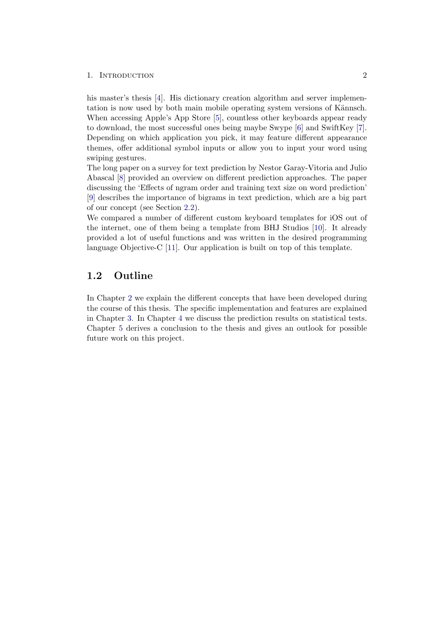### 1. INTRODUCTION 2

his master's thesis [\[4\]](#page-19-4). His dictionary creation algorithm and server implementation is now used by both main mobile operating system versions of Kännsch. When accessing Apple's App Store [\[5\]](#page-19-5), countless other keyboards appear ready to download, the most successful ones being maybe Swype [\[6\]](#page-19-6) and SwiftKey [\[7\]](#page-19-7). Depending on which application you pick, it may feature different appearance themes, offer additional symbol inputs or allow you to input your word using swiping gestures.

The long paper on a survey for text prediction by Nestor Garay-Vitoria and Julio Abascal [\[8\]](#page-19-8) provided an overview on different prediction approaches. The paper discussing the 'Effects of ngram order and training text size on word prediction' [\[9\]](#page-19-9) describes the importance of bigrams in text prediction, which are a big part of our concept (see Section [2.2\)](#page-6-0).

We compared a number of different custom keyboard templates for iOS out of the internet, one of them being a template from BHJ Studios [\[10\]](#page-19-10). It already provided a lot of useful functions and was written in the desired programming language Objective-C [\[11\]](#page-19-11). Our application is built on top of this template.

### <span id="page-4-0"></span>1.2 Outline

In Chapter [2](#page-5-0) we explain the different concepts that have been developed during the course of this thesis. The specific implementation and features are explained in Chapter [3.](#page-10-0) In Chapter [4](#page-14-0) we discuss the prediction results on statistical tests. Chapter [5](#page-18-0) derives a conclusion to the thesis and gives an outlook for possible future work on this project.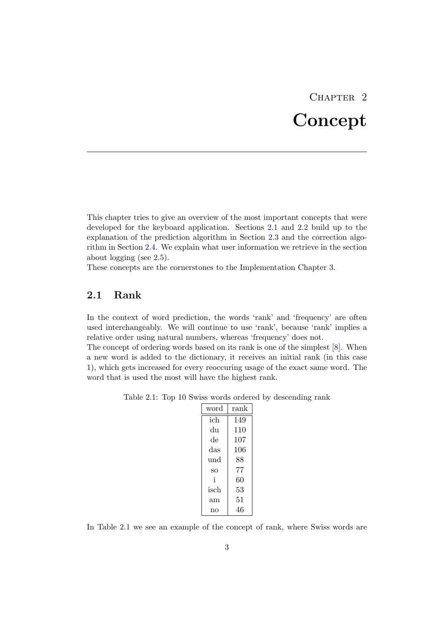# CHAPTER<sub>2</sub> Concept

<span id="page-5-0"></span>This chapter tries to give an overview of the most important concepts that were developed for the keyboard application. Sections [2.1](#page-5-1) and [2.2](#page-6-0) build up to the explanation of the prediction algorithm in Section [2.3](#page-7-0) and the correction algorithm in Section [2.4.](#page-8-0) We explain what user information we retrieve in the section about logging (see [2.5\)](#page-9-0).

These concepts are the cornerstones to the Implementation Chapter [3.](#page-10-0)

## <span id="page-5-1"></span>2.1 Rank

In the context of word prediction, the words 'rank' and 'frequency' are often used interchangeably. We will continue to use 'rank', because 'rank' implies a relative order using natural numbers, whereas 'frequency' does not.

The concept of ordering words based on its rank is one of the simplest [\[8\]](#page-19-8). When a new word is added to the dictionary, it receives an initial rank (in this case 1), which gets increased for every reoccuring usage of the exact same word. The word that is used the most will have the highest rank.

<span id="page-5-2"></span>

| word | rank |
|------|------|
| ich  | 149  |
| du   | 110  |
| de   | 107  |
| das  | 106  |
| und  | 88   |
| SO   | 77   |
| i    | 60   |
| isch | 53   |
| am   | 51   |
| no   | 46   |

In Table [2.1](#page-5-2) we see an example of the concept of rank, where Swiss words are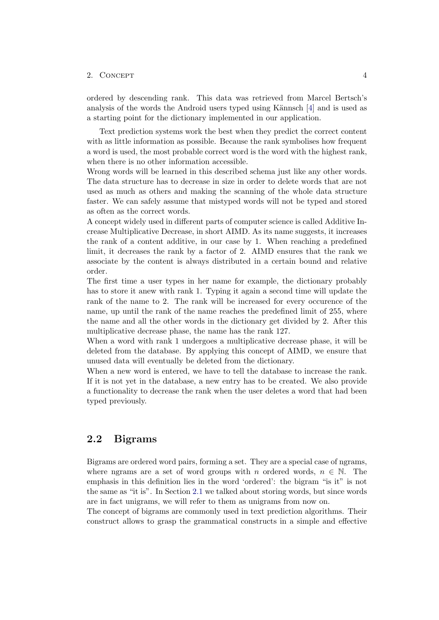ordered by descending rank. This data was retrieved from Marcel Bertsch's analysis of the words the Android users typed using Kännsch [\[4\]](#page-19-4) and is used as a starting point for the dictionary implemented in our application.

Text prediction systems work the best when they predict the correct content with as little information as possible. Because the rank symbolises how frequent a word is used, the most probable correct word is the word with the highest rank, when there is no other information accessible.

Wrong words will be learned in this described schema just like any other words. The data structure has to decrease in size in order to delete words that are not used as much as others and making the scanning of the whole data structure faster. We can safely assume that mistyped words will not be typed and stored as often as the correct words.

A concept widely used in different parts of computer science is called Additive Increase Multiplicative Decrease, in short AIMD. As its name suggests, it increases the rank of a content additive, in our case by 1. When reaching a predefined limit, it decreases the rank by a factor of 2. AIMD ensures that the rank we associate by the content is always distributed in a certain bound and relative order.

The first time a user types in her name for example, the dictionary probably has to store it anew with rank 1. Typing it again a second time will update the rank of the name to 2. The rank will be increased for every occurence of the name, up until the rank of the name reaches the predefined limit of 255, where the name and all the other words in the dictionary get divided by 2. After this multiplicative decrease phase, the name has the rank 127.

When a word with rank 1 undergoes a multiplicative decrease phase, it will be deleted from the database. By applying this concept of AIMD, we ensure that unused data will eventually be deleted from the dictionary.

When a new word is entered, we have to tell the database to increase the rank. If it is not yet in the database, a new entry has to be created. We also provide a functionality to decrease the rank when the user deletes a word that had been typed previously.

## <span id="page-6-0"></span>2.2 Bigrams

Bigrams are ordered word pairs, forming a set. They are a special case of ngrams, where ngrams are a set of word groups with n ordered words,  $n \in \mathbb{N}$ . The emphasis in this definition lies in the word 'ordered': the bigram "is it" is not the same as "it is". In Section [2.1](#page-5-1) we talked about storing words, but since words are in fact unigrams, we will refer to them as unigrams from now on.

The concept of bigrams are commonly used in text prediction algorithms. Their construct allows to grasp the grammatical constructs in a simple and effective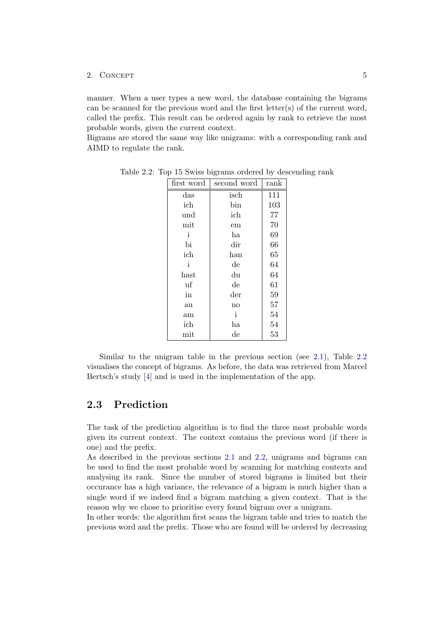manner. When a user types a new word, the database containing the bigrams can be scanned for the previous word and the first letter(s) of the current word, called the prefix. This result can be ordered again by rank to retrieve the most probable words, given the current context.

Bigrams are stored the same way like unigrams: with a corresponding rank and AIMD to regulate the rank.

<span id="page-7-1"></span>

| first word            | second word            | rank |
|-----------------------|------------------------|------|
| das                   | isch                   | 111  |
| ich                   | bin                    | 103  |
| und                   | ich                    | 77   |
| mit                   | em                     | 70   |
| i                     | ha                     | 69   |
| bi                    | dir                    | 66   |
| ich                   | han                    | 65   |
| i                     | $\mathrm{d}\mathrm{e}$ | 64   |
| $\operatorname{hast}$ | du                     | 64   |
| uf                    | de                     | 61   |
| in                    | $_{\rm der}$           | 59   |
| au                    | no                     | 57   |
| am                    | i                      | 54   |
| ich                   | ha                     | 54   |
| $_{\rm{mit}}$         | $_{\rm de}$            | 53   |

Table 2.2: Top 15 Swiss bigrams ordered by descending rank

Similar to the unigram table in the previous section (see [2.1\)](#page-5-2), Table [2.2](#page-7-1) visualises the concept of bigrams. As before, the data was retrieved from Marcel Bertsch's study [\[4\]](#page-19-4) and is used in the implementation of the app.

### <span id="page-7-0"></span>2.3 Prediction

The task of the prediction algorithm is to find the three most probable words given its current context. The context contains the previous word (if there is one) and the prefix.

As described in the previous sections [2.1](#page-5-1) and [2.2,](#page-6-0) unigrams and bigrams can be used to find the most probable word by scanning for matching contexts and analysing its rank. Since the number of stored bigrams is limited but their occurance has a high variance, the relevance of a bigram is much higher than a single word if we indeed find a bigram matching a given context. That is the reason why we chose to prioritise every found bigram over a unigram.

In other words: the algorithm first scans the bigram table and tries to match the previous word and the prefix. Those who are found will be ordered by decreasing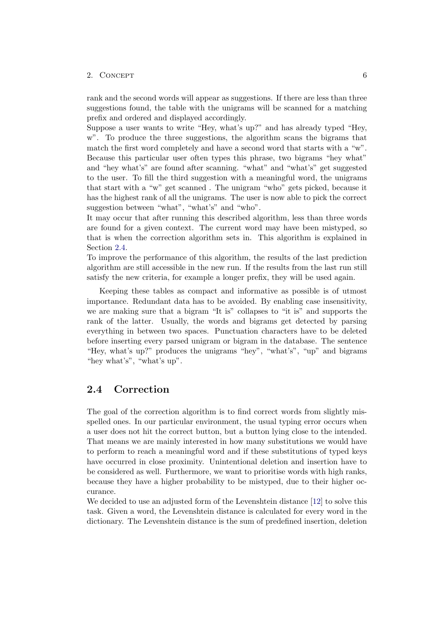rank and the second words will appear as suggestions. If there are less than three suggestions found, the table with the unigrams will be scanned for a matching prefix and ordered and displayed accordingly.

Suppose a user wants to write "Hey, what's up?" and has already typed "Hey, w". To produce the three suggestions, the algorithm scans the bigrams that match the first word completely and have a second word that starts with a "w". Because this particular user often types this phrase, two bigrams "hey what" and "hey what's" are found after scanning. "what" and "what's" get suggested to the user. To fill the third suggestion with a meaningful word, the unigrams that start with a "w" get scanned . The unigram "who" gets picked, because it has the highest rank of all the unigrams. The user is now able to pick the correct suggestion between "what", "what's" and "who".

It may occur that after running this described algorithm, less than three words are found for a given context. The current word may have been mistyped, so that is when the correction algorithm sets in. This algorithm is explained in Section [2.4.](#page-8-0)

To improve the performance of this algorithm, the results of the last prediction algorithm are still accessible in the new run. If the results from the last run still satisfy the new criteria, for example a longer prefix, they will be used again.

Keeping these tables as compact and informative as possible is of utmost importance. Redundant data has to be avoided. By enabling case insensitivity, we are making sure that a bigram "It is" collapses to "it is" and supports the rank of the latter. Usually, the words and bigrams get detected by parsing everything in between two spaces. Punctuation characters have to be deleted before inserting every parsed unigram or bigram in the database. The sentence "Hey, what's up?" produces the unigrams "hey", "what's", "up" and bigrams "hey what's", "what's up".

### <span id="page-8-0"></span>2.4 Correction

The goal of the correction algorithm is to find correct words from slightly misspelled ones. In our particular environment, the usual typing error occurs when a user does not hit the correct button, but a button lying close to the intended. That means we are mainly interested in how many substitutions we would have to perform to reach a meaningful word and if these substitutions of typed keys have occurred in close proximity. Unintentional deletion and insertion have to be considered as well. Furthermore, we want to prioritise words with high ranks, because they have a higher probability to be mistyped, due to their higher occurance.

We decided to use an adjusted form of the Levenshtein distance [\[12\]](#page-19-12) to solve this task. Given a word, the Levenshtein distance is calculated for every word in the dictionary. The Levenshtein distance is the sum of predefined insertion, deletion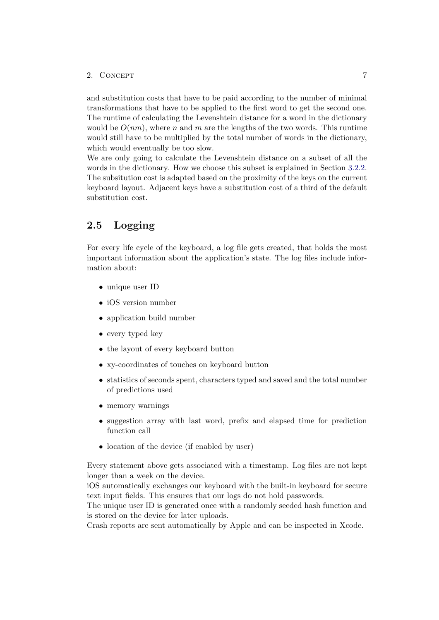and substitution costs that have to be paid according to the number of minimal transformations that have to be applied to the first word to get the second one. The runtime of calculating the Levenshtein distance for a word in the dictionary would be  $O(nm)$ , where n and m are the lengths of the two words. This runtime would still have to be multiplied by the total number of words in the dictionary, which would eventually be too slow.

We are only going to calculate the Levenshtein distance on a subset of all the words in the dictionary. How we choose this subset is explained in Section [3.2.2.](#page-12-0) The subsitution cost is adapted based on the proximity of the keys on the current keyboard layout. Adjacent keys have a substitution cost of a third of the default substitution cost.

## <span id="page-9-0"></span>2.5 Logging

For every life cycle of the keyboard, a log file gets created, that holds the most important information about the application's state. The log files include information about:

- unique user ID
- iOS version number
- application build number
- every typed key
- the layout of every keyboard button
- xy-coordinates of touches on keyboard button
- statistics of seconds spent, characters typed and saved and the total number of predictions used
- memory warnings
- suggestion array with last word, prefix and elapsed time for prediction function call
- location of the device (if enabled by user)

Every statement above gets associated with a timestamp. Log files are not kept longer than a week on the device.

iOS automatically exchanges our keyboard with the built-in keyboard for secure text input fields. This ensures that our logs do not hold passwords.

The unique user ID is generated once with a randomly seeded hash function and is stored on the device for later uploads.

Crash reports are sent automatically by Apple and can be inspected in Xcode.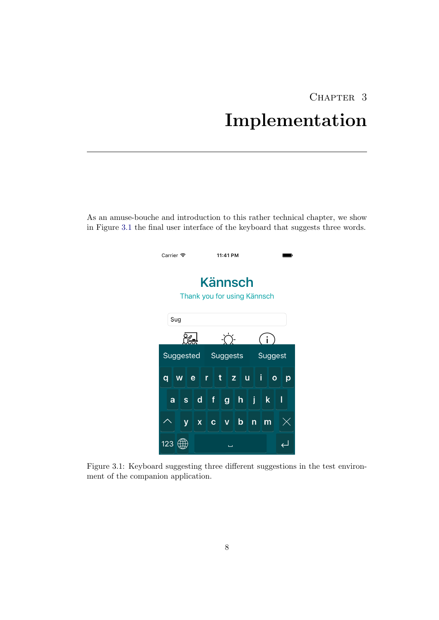# CHAPTER 3 Implementation

<span id="page-10-0"></span>As an amuse-bouche and introduction to this rather technical chapter, we show in Figure [3.1](#page-10-1) the final user interface of the keyboard that suggests three words.

<span id="page-10-1"></span>

Figure 3.1: Keyboard suggesting three different suggestions in the test environment of the companion application.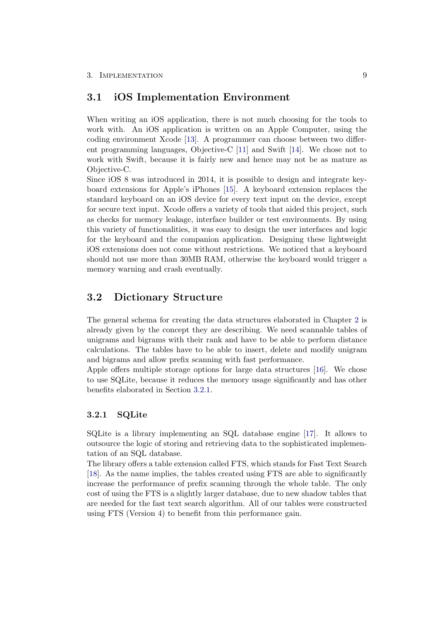### <span id="page-11-0"></span>3.1 iOS Implementation Environment

When writing an iOS application, there is not much choosing for the tools to work with. An iOS application is written on an Apple Computer, using the coding environment Xcode [\[13\]](#page-19-13). A programmer can choose between two different programming languages, Objective-C [\[11\]](#page-19-11) and Swift [\[14\]](#page-19-14). We chose not to work with Swift, because it is fairly new and hence may not be as mature as Objective-C.

Since iOS 8 was introduced in 2014, it is possible to design and integrate keyboard extensions for Apple's iPhones [\[15\]](#page-20-0). A keyboard extension replaces the standard keyboard on an iOS device for every text input on the device, except for secure text input. Xcode offers a variety of tools that aided this project, such as checks for memory leakage, interface builder or test environments. By using this variety of functionalities, it was easy to design the user interfaces and logic for the keyboard and the companion application. Designing these lightweight iOS extensions does not come without restrictions. We noticed that a keyboard should not use more than 30MB RAM, otherwise the keyboard would trigger a memory warning and crash eventually.

## <span id="page-11-1"></span>3.2 Dictionary Structure

The general schema for creating the data structures elaborated in Chapter [2](#page-5-0) is already given by the concept they are describing. We need scannable tables of unigrams and bigrams with their rank and have to be able to perform distance calculations. The tables have to be able to insert, delete and modify unigram and bigrams and allow prefix scanning with fast performance.

Apple offers multiple storage options for large data structures [\[16\]](#page-20-1). We chose to use SQLite, because it reduces the memory usage significantly and has other benefits elaborated in Section [3.2.1.](#page-11-2)

### <span id="page-11-2"></span>3.2.1 SQLite

SQLite is a library implementing an SQL database engine [\[17\]](#page-20-2). It allows to outsource the logic of storing and retrieving data to the sophisticated implementation of an SQL database.

The library offers a table extension called FTS, which stands for Fast Text Search [\[18\]](#page-20-3). As the name implies, the tables created using FTS are able to significantly increase the performance of prefix scanning through the whole table. The only cost of using the FTS is a slightly larger database, due to new shadow tables that are needed for the fast text search algorithm. All of our tables were constructed using FTS (Version 4) to benefit from this performance gain.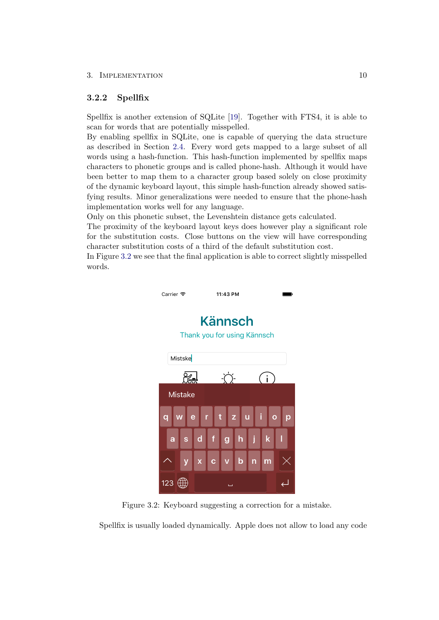### 3. IMPLEMENTATION 10

### <span id="page-12-0"></span>3.2.2 Spellfix

Spellfix is another extension of SQLite [\[19\]](#page-20-4). Together with FTS4, it is able to scan for words that are potentially misspelled.

By enabling spellfix in SQLite, one is capable of querying the data structure as described in Section [2.4.](#page-8-0) Every word gets mapped to a large subset of all words using a hash-function. This hash-function implemented by spellfix maps characters to phonetic groups and is called phone-hash. Although it would have been better to map them to a character group based solely on close proximity of the dynamic keyboard layout, this simple hash-function already showed satisfying results. Minor generalizations were needed to ensure that the phone-hash implementation works well for any language.

Only on this phonetic subset, the Levenshtein distance gets calculated.

The proximity of the keyboard layout keys does however play a significant role for the substitution costs. Close buttons on the view will have corresponding character substitution costs of a third of the default substitution cost.

In Figure [3.2](#page-12-1) we see that the final application is able to correct slightly misspelled words.



Figure 3.2: Keyboard suggesting a correction for a mistake.

<span id="page-12-1"></span>Spellfix is usually loaded dynamically. Apple does not allow to load any code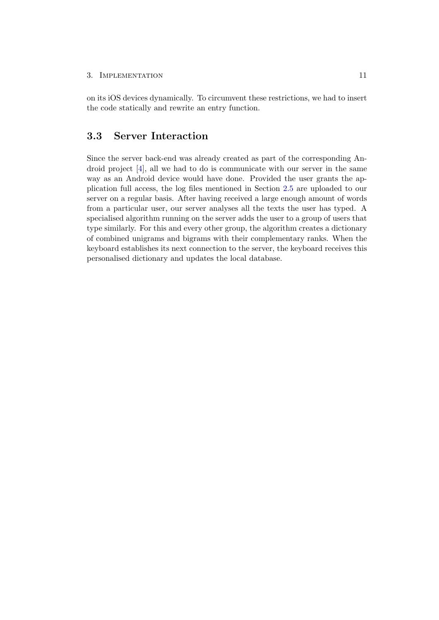#### 3. IMPLEMENTATION 11

on its iOS devices dynamically. To circumvent these restrictions, we had to insert the code statically and rewrite an entry function.

## <span id="page-13-0"></span>3.3 Server Interaction

Since the server back-end was already created as part of the corresponding Android project [\[4\]](#page-19-4), all we had to do is communicate with our server in the same way as an Android device would have done. Provided the user grants the application full access, the log files mentioned in Section [2.5](#page-9-0) are uploaded to our server on a regular basis. After having received a large enough amount of words from a particular user, our server analyses all the texts the user has typed. A specialised algorithm running on the server adds the user to a group of users that type similarly. For this and every other group, the algorithm creates a dictionary of combined unigrams and bigrams with their complementary ranks. When the keyboard establishes its next connection to the server, the keyboard receives this personalised dictionary and updates the local database.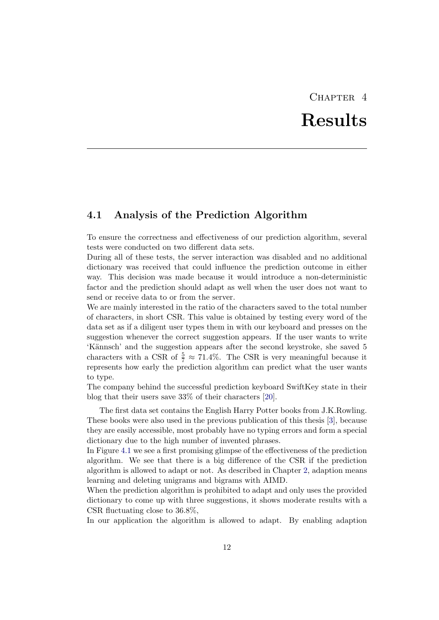# CHAPTER<sub>4</sub> Results

## <span id="page-14-1"></span><span id="page-14-0"></span>4.1 Analysis of the Prediction Algorithm

To ensure the correctness and effectiveness of our prediction algorithm, several tests were conducted on two different data sets.

During all of these tests, the server interaction was disabled and no additional dictionary was received that could influence the prediction outcome in either way. This decision was made because it would introduce a non-deterministic factor and the prediction should adapt as well when the user does not want to send or receive data to or from the server.

We are mainly interested in the ratio of the characters saved to the total number of characters, in short CSR. This value is obtained by testing every word of the data set as if a diligent user types them in with our keyboard and presses on the suggestion whenever the correct suggestion appears. If the user wants to write 'K¨annsch' and the suggestion appears after the second keystroke, she saved 5 characters with a CSR of  $\frac{5}{7} \approx 71.4\%$ . The CSR is very meaningful because it represents how early the prediction algorithm can predict what the user wants to type.

The company behind the successful prediction keyboard SwiftKey state in their blog that their users save 33% of their characters [\[20\]](#page-20-5).

The first data set contains the English Harry Potter books from J.K.Rowling. These books were also used in the previous publication of this thesis [\[3\]](#page-19-3), because they are easily accessible, most probably have no typing errors and form a special dictionary due to the high number of invented phrases.

In Figure [4.1](#page-15-0) we see a first promising glimpse of the effectiveness of the prediction algorithm. We see that there is a big difference of the CSR if the prediction algorithm is allowed to adapt or not. As described in Chapter [2,](#page-5-0) adaption means learning and deleting unigrams and bigrams with AIMD.

When the prediction algorithm is prohibited to adapt and only uses the provided dictionary to come up with three suggestions, it shows moderate results with a CSR fluctuating close to 36.8%,

In our application the algorithm is allowed to adapt. By enabling adaption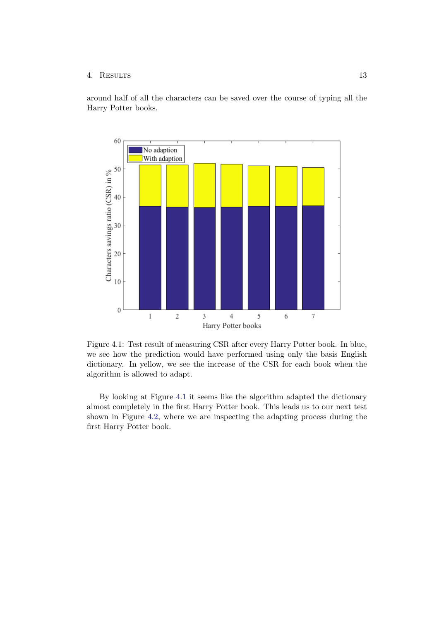### 4. Results 13

around half of all the characters can be saved over the course of typing all the Harry Potter books.



<span id="page-15-0"></span>Figure 4.1: Test result of measuring CSR after every Harry Potter book. In blue, we see how the prediction would have performed using only the basis English dictionary. In yellow, we see the increase of the CSR for each book when the algorithm is allowed to adapt.

By looking at Figure [4.1](#page-15-0) it seems like the algorithm adapted the dictionary almost completely in the first Harry Potter book. This leads us to our next test shown in Figure [4.2,](#page-16-0) where we are inspecting the adapting process during the first Harry Potter book.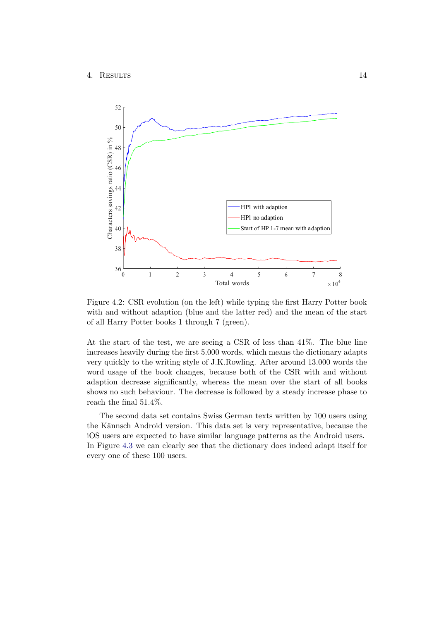

<span id="page-16-0"></span>Figure 4.2: CSR evolution (on the left) while typing the first Harry Potter book with and without adaption (blue and the latter red) and the mean of the start of all Harry Potter books 1 through 7 (green).

At the start of the test, we are seeing a CSR of less than 41%. The blue line increases heavily during the first 5.000 words, which means the dictionary adapts very quickly to the writing style of J.K.Rowling. After around 13.000 words the word usage of the book changes, because both of the CSR with and without adaption decrease significantly, whereas the mean over the start of all books shows no such behaviour. The decrease is followed by a steady increase phase to reach the final 51.4%.

The second data set contains Swiss German texts written by 100 users using the Kännsch Android version. This data set is very representative, because the iOS users are expected to have similar language patterns as the Android users. In Figure [4.3](#page-17-0) we can clearly see that the dictionary does indeed adapt itself for every one of these 100 users.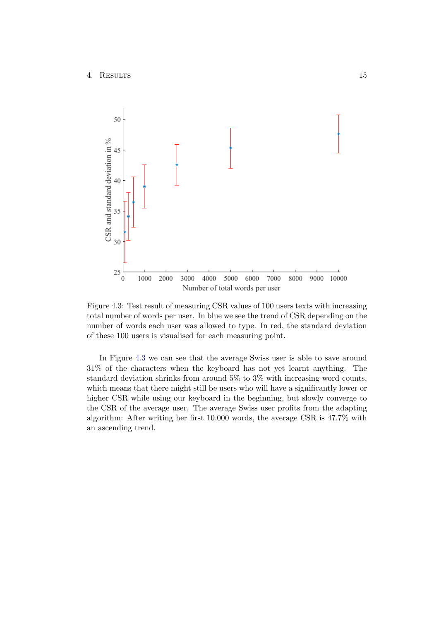

<span id="page-17-0"></span>Figure 4.3: Test result of measuring CSR values of 100 users texts with increasing total number of words per user. In blue we see the trend of CSR depending on the number of words each user was allowed to type. In red, the standard deviation of these 100 users is visualised for each measuring point.

In Figure [4.3](#page-17-0) we can see that the average Swiss user is able to save around 31% of the characters when the keyboard has not yet learnt anything. The standard deviation shrinks from around 5% to 3% with increasing word counts, which means that there might still be users who will have a significantly lower or higher CSR while using our keyboard in the beginning, but slowly converge to the CSR of the average user. The average Swiss user profits from the adapting algorithm: After writing her first 10.000 words, the average CSR is 47.7% with an ascending trend.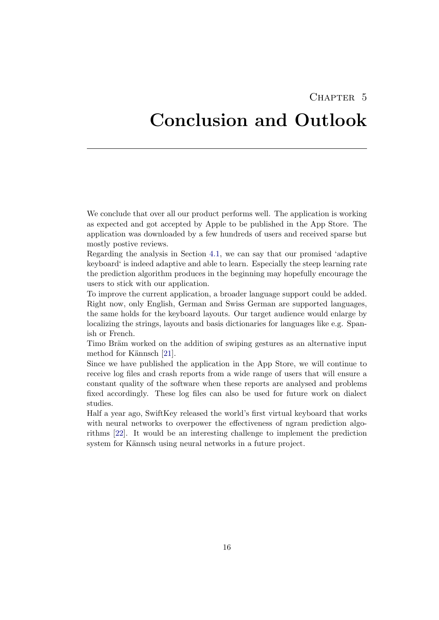## CHAPTER<sub>5</sub>

## <span id="page-18-0"></span>Conclusion and Outlook

We conclude that over all our product performs well. The application is working as expected and got accepted by Apple to be published in the App Store. The application was downloaded by a few hundreds of users and received sparse but mostly postive reviews.

Regarding the analysis in Section [4.1,](#page-14-1) we can say that our promised 'adaptive keyboard' is indeed adaptive and able to learn. Especially the steep learning rate the prediction algorithm produces in the beginning may hopefully encourage the users to stick with our application.

To improve the current application, a broader language support could be added. Right now, only English, German and Swiss German are supported languages, the same holds for the keyboard layouts. Our target audience would enlarge by localizing the strings, layouts and basis dictionaries for languages like e.g. Spanish or French.

Timo Bräm worked on the addition of swiping gestures as an alternative input method for Kännsch [\[21\]](#page-20-6).

Since we have published the application in the App Store, we will continue to receive log files and crash reports from a wide range of users that will ensure a constant quality of the software when these reports are analysed and problems fixed accordingly. These log files can also be used for future work on dialect studies.

Half a year ago, SwiftKey released the world's first virtual keyboard that works with neural networks to overpower the effectiveness of ngram prediction algorithms [\[22\]](#page-20-7). It would be an interesting challenge to implement the prediction system for Kännsch using neural networks in a future project.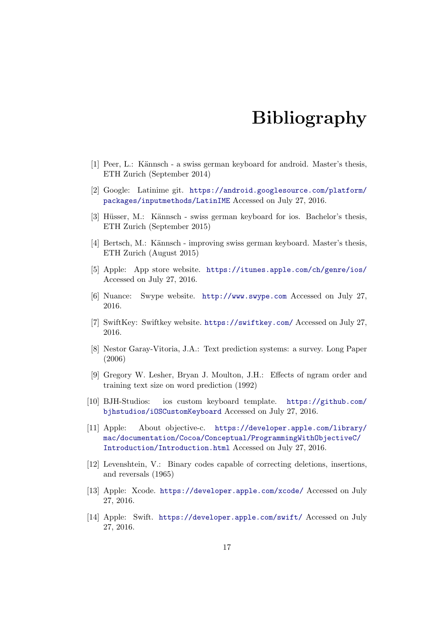## Bibliography

- <span id="page-19-1"></span><span id="page-19-0"></span>[1] Peer, L.: Kännsch - a swiss german keyboard for android. Master's thesis, ETH Zurich (September 2014)
- <span id="page-19-2"></span>[2] Google: Latinime git. [https://android.googlesource.com/platform/](https://android.googlesource.com/platform/packages/inputmethods/LatinIME) [packages/inputmethods/LatinIME](https://android.googlesource.com/platform/packages/inputmethods/LatinIME) Accessed on July 27, 2016.
- <span id="page-19-3"></span>[3] Hüsser, M.: Kännsch - swiss german keyboard for ios. Bachelor's thesis, ETH Zurich (September 2015)
- <span id="page-19-4"></span>[4] Bertsch, M.: Kännsch - improving swiss german keyboard. Master's thesis, ETH Zurich (August 2015)
- <span id="page-19-5"></span>[5] Apple: App store website. <https://itunes.apple.com/ch/genre/ios/> Accessed on July 27, 2016.
- <span id="page-19-6"></span>[6] Nuance: Swype website. <http://www.swype.com> Accessed on July 27, 2016.
- <span id="page-19-7"></span>[7] SwiftKey: Swiftkey website. <https://swiftkey.com/> Accessed on July 27, 2016.
- <span id="page-19-8"></span>[8] Nestor Garay-Vitoria, J.A.: Text prediction systems: a survey. Long Paper (2006)
- <span id="page-19-9"></span>[9] Gregory W. Lesher, Bryan J. Moulton, J.H.: Effects of ngram order and training text size on word prediction (1992)
- <span id="page-19-10"></span>[10] BJH-Studios: ios custom keyboard template. [https://github.com/](https://github.com/bjhstudios/iOSCustomKeyboard) [bjhstudios/iOSCustomKeyboard](https://github.com/bjhstudios/iOSCustomKeyboard) Accessed on July 27, 2016.
- <span id="page-19-11"></span>[11] Apple: About objective-c. [https://developer.apple.com/library/](https://developer.apple.com/library/mac/documentation/Cocoa/Conceptual/ProgrammingWithObjectiveC/Introduction/Introduction.html) [mac/documentation/Cocoa/Conceptual/ProgrammingWithObjectiveC/](https://developer.apple.com/library/mac/documentation/Cocoa/Conceptual/ProgrammingWithObjectiveC/Introduction/Introduction.html) [Introduction/Introduction.html](https://developer.apple.com/library/mac/documentation/Cocoa/Conceptual/ProgrammingWithObjectiveC/Introduction/Introduction.html) Accessed on July 27, 2016.
- <span id="page-19-12"></span>[12] Levenshtein, V.: Binary codes capable of correcting deletions, insertions, and reversals (1965)
- <span id="page-19-13"></span>[13] Apple: Xcode. <https://developer.apple.com/xcode/> Accessed on July 27, 2016.
- <span id="page-19-14"></span>[14] Apple: Swift. <https://developer.apple.com/swift/> Accessed on July 27, 2016.